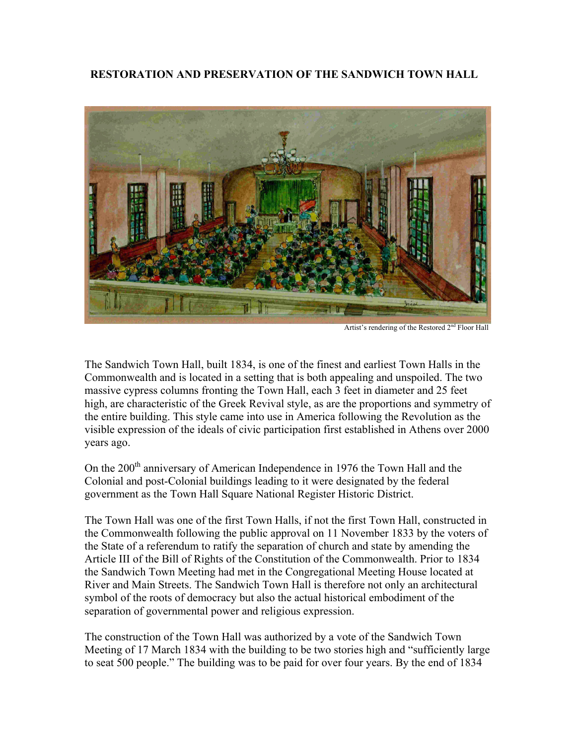## **RESTORATION AND PRESERVATION OF THE SANDWICH TOWN HALL**



Artist's rendering of the Restored 2<sup>nd</sup> Floor Hall

The Sandwich Town Hall, built 1834, is one of the finest and earliest Town Halls in the Commonwealth and is located in a setting that is both appealing and unspoiled. The two massive cypress columns fronting the Town Hall, each 3 feet in diameter and 25 feet high, are characteristic of the Greek Revival style, as are the proportions and symmetry of the entire building. This style came into use in America following the Revolution as the visible expression of the ideals of civic participation first established in Athens over 2000 years ago.

On the 200<sup>th</sup> anniversary of American Independence in 1976 the Town Hall and the Colonial and post-Colonial buildings leading to it were designated by the federal government as the Town Hall Square National Register Historic District.

The Town Hall was one of the first Town Halls, if not the first Town Hall, constructed in the Commonwealth following the public approval on 11 November 1833 by the voters of the State of a referendum to ratify the separation of church and state by amending the Article III of the Bill of Rights of the Constitution of the Commonwealth. Prior to 1834 the Sandwich Town Meeting had met in the Congregational Meeting House located at River and Main Streets. The Sandwich Town Hall is therefore not only an architectural symbol of the roots of democracy but also the actual historical embodiment of the separation of governmental power and religious expression.

The construction of the Town Hall was authorized by a vote of the Sandwich Town Meeting of 17 March 1834 with the building to be two stories high and "sufficiently large to seat 500 people." The building was to be paid for over four years. By the end of 1834